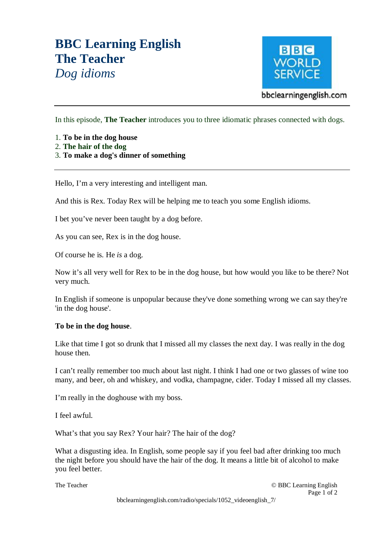## **BBC Learning English The Teacher**  *Dog idioms*



In this episode, **The Teacher** introduces you to three idiomatic phrases connected with dogs.

- 1. **To be in the dog house**
- 2. **The hair of the dog**
- 3. **To make a dog's dinner of something**

Hello, I'm a very interesting and intelligent man.

And this is Rex. Today Rex will be helping me to teach you some English idioms.

I bet you've never been taught by a dog before.

As you can see, Rex is in the dog house.

Of course he is. He *is* a dog.

Now it's all very well for Rex to be in the dog house, but how would you like to be there? Not very much.

In English if someone is unpopular because they've done something wrong we can say they're 'in the dog house'.

## **To be in the dog house**.

Like that time I got so drunk that I missed all my classes the next day. I was really in the dog house then.

I can't really remember too much about last night. I think I had one or two glasses of wine too many, and beer, oh and whiskey, and vodka, champagne, cider. Today I missed all my classes.

I'm really in the doghouse with my boss.

I feel awful.

What's that you say Rex? Your hair? The hair of the dog?

What a disgusting idea. In English, some people say if you feel bad after drinking too much the night before you should have the hair of the dog. It means a little bit of alcohol to make you feel better.

The Teacher © BBC Learning English Page 1 of 2 bbclearningenglish.com/radio/specials/1052\_videoenglish\_7/